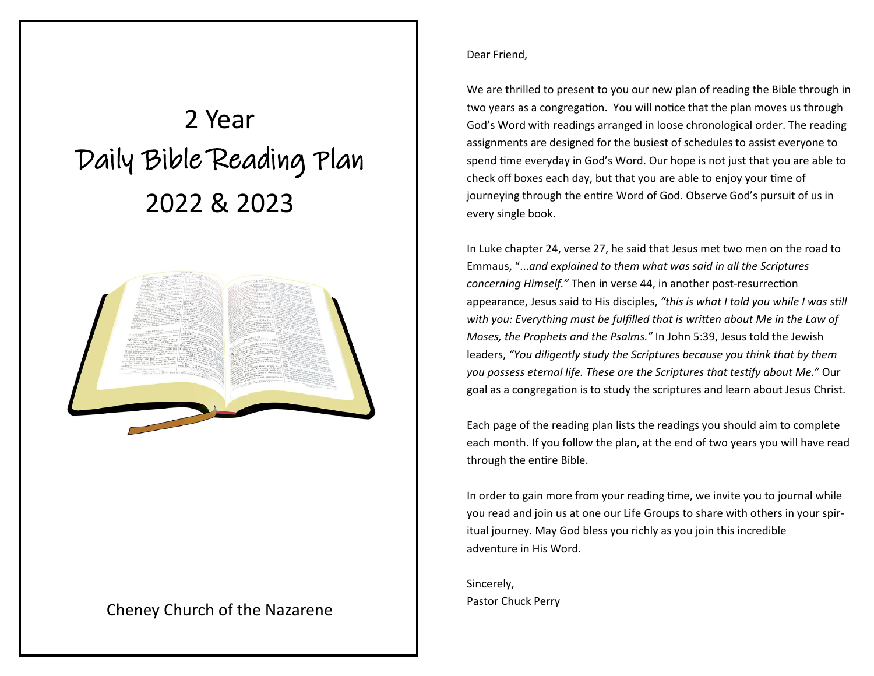# 2 Year Daily Bible Reading Plan 2022 & 2023



#### Cheney Church of the Nazarene

#### Dear Friend,

We are thrilled to present to you our new plan of reading the Bible through in two years as a congregation. You will notice that the plan moves us through God's Word with readings arranged in loose chronological order. The reading assignments are designed for the busiest of schedules to assist everyone to spend time everyday in God's Word. Our hope is not just that you are able to check off boxes each day, but that you are able to enjoy your time of journeying through the entire Word of God. Observe God's pursuit of us in every single book.

In Luke chapter 24, verse 27, he said that Jesus met two men on the road to Emmaus, "...*and explained to them what was said in all the Scriptures concerning Himself."* Then in verse 44, in another post-resurrection appearance, Jesus said to His disciples, *"this is what I told you while I was still with you: Everything must be fulfilled that is written about Me in the Law of Moses, the Prophets and the Psalms."* In John 5:39, Jesus told the Jewish leaders, *"You diligently study the Scriptures because you think that by them you possess eternal life. These are the Scriptures that testify about Me."* Our goal as a congregation is to study the scriptures and learn about Jesus Christ.

Each page of the reading plan lists the readings you should aim to complete each month. If you follow the plan, at the end of two years you will have read through the entire Bible.

In order to gain more from your reading time, we invite you to journal while you read and join us at one our Life Groups to share with others in your spiritual journey. May God bless you richly as you join this incredible adventure in His Word.

Sincerely, Pastor Chuck Perry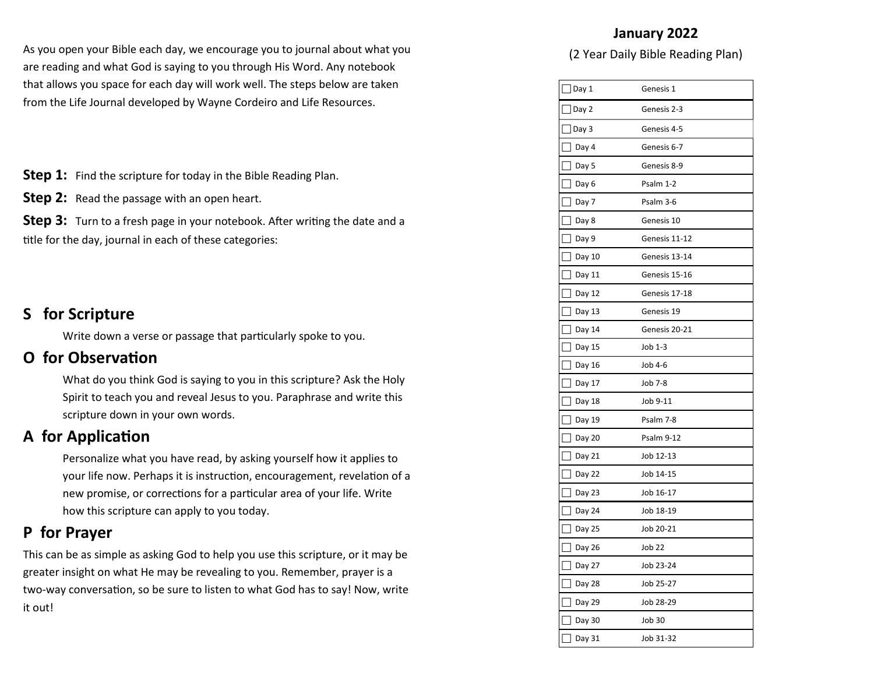As you open your Bible each day, we encourage you to journal about what you are reading and what God is saying to you through His Word. Any notebook that allows you space for each day will work well. The steps below are taken from the Life Journal developed by Wayne Cordeiro and Life Resources.

**Step 1:** Find the scripture for today in the Bible Reading Plan.

**Step 2:** Read the passage with an open heart.

**Step 3:** Turn to a fresh page in your notebook. After writing the date and a title for the day, journal in each of these categories:

#### **S for Scripture**

Write down a verse or passage that particularly spoke to you.

#### **O for Observation**

What do you think God is saying to you in this scripture? Ask the Holy Spirit to teach you and reveal Jesus to you. Paraphrase and write this scripture down in your own words.

### **A for Application**

Personalize what you have read, by asking yourself how it applies to your life now. Perhaps it is instruction, encouragement, revelation of a new promise, or corrections for a particular area of your life. Write how this scripture can apply to you today.

#### **P for Prayer**

This can be as simple as asking God to help you use this scripture, or it may be greater insight on what He may be revealing to you. Remember, prayer is a two-way conversation, so be sure to listen to what God has to say! Now, write it out!

#### **January 2022**

| Day 1                              | Genesis 1     |
|------------------------------------|---------------|
| Day 2                              | Genesis 2-3   |
| $\vert$ Day 3                      | Genesis 4-5   |
| Day 4                              | Genesis 6-7   |
| Day 5                              | Genesis 8-9   |
| Day 6                              | Psalm 1-2     |
| Day 7                              | Psalm 3-6     |
| $\mathsf{L}$<br>Day 8              | Genesis 10    |
| Day 9                              | Genesis 11-12 |
| Day 10                             | Genesis 13-14 |
| Day 11                             | Genesis 15-16 |
| Day 12                             | Genesis 17-18 |
| Day 13                             | Genesis 19    |
| Day 14                             | Genesis 20-21 |
| Day 15                             | Job 1-3       |
| Day 16                             | Job 4-6       |
| Day 17<br>$\overline{\phantom{a}}$ | Job 7-8       |
| Day 18<br>I                        | Job 9-11      |
| Day 19                             | Psalm 7-8     |
| Day 20                             | Psalm 9-12    |
| Day 21                             | Job 12-13     |
| Day 22                             | Job 14-15     |
| Day 23<br>$\mathsf{L}$             | Job 16-17     |
| Day 24                             | Job 18-19     |
| Day 25                             | Job 20-21     |
| Day 26                             | Job 22        |
| Day 27                             | Job 23-24     |
| Day 28                             | Job 25-27     |
| Day 29                             | Job 28-29     |
| Day 30                             | Job 30        |
| Day 31                             | Job 31-32     |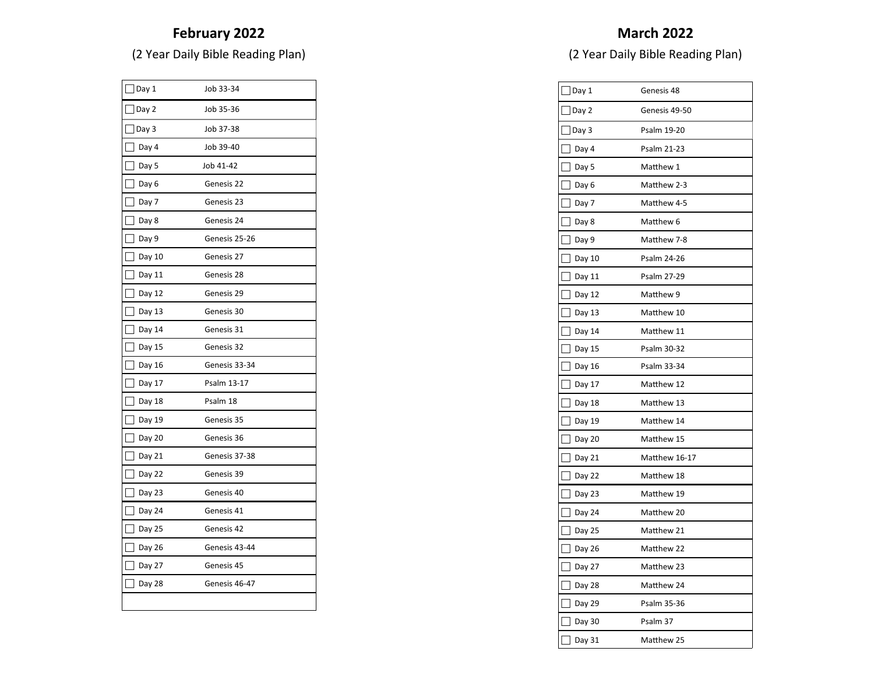# **February 2022**

(2 Year Daily Bible Reading Plan)

| Day 1  | Job 33-34     |
|--------|---------------|
| Day 2  | Job 35-36     |
| Day 3  | Job 37-38     |
| Day 4  | Job 39-40     |
| Day 5  | Job 41-42     |
| Day 6  | Genesis 22    |
| Day 7  | Genesis 23    |
| Day 8  | Genesis 24    |
| Day 9  | Genesis 25-26 |
| Day 10 | Genesis 27    |
| Day 11 | Genesis 28    |
| Day 12 | Genesis 29    |
| Day 13 | Genesis 30    |
| Day 14 | Genesis 31    |
| Day 15 | Genesis 32    |
| Day 16 | Genesis 33-34 |
| Day 17 | Psalm 13-17   |
| Day 18 | Psalm 18      |
| Day 19 | Genesis 35    |
| Day 20 | Genesis 36    |
| Day 21 | Genesis 37-38 |
| Day 22 | Genesis 39    |
| Day 23 | Genesis 40    |
| Day 24 | Genesis 41    |
| Day 25 | Genesis 42    |
| Day 26 | Genesis 43-44 |
| Day 27 | Genesis 45    |
| Day 28 | Genesis 46-47 |
|        |               |

# **March 2022**

| $\vert$ Day 1                      | Genesis 48    |
|------------------------------------|---------------|
| Day 2                              | Genesis 49-50 |
| Day 3                              | Psalm 19-20   |
| Day 4                              | Psalm 21-23   |
| Day 5                              | Matthew 1     |
| П<br>Day 6                         | Matthew 2-3   |
| Day 7                              | Matthew 4-5   |
| Day 8                              | Matthew 6     |
| Day 9                              | Matthew 7-8   |
| Day 10                             | Psalm 24-26   |
| Day 11                             | Psalm 27-29   |
| Day 12                             | Matthew 9     |
| Day 13                             | Matthew 10    |
| Day 14                             | Matthew 11    |
| Day 15                             | Psalm 30-32   |
| Day 16                             | Psalm 33-34   |
| Day 17<br>$\overline{\phantom{a}}$ | Matthew 12    |
| Day 18                             | Matthew 13    |
| Day 19                             | Matthew 14    |
| Day 20                             | Matthew 15    |
| Day 21                             | Matthew 16-17 |
| Day 22                             | Matthew 18    |
| Day 23                             | Matthew 19    |
| Day 24                             | Matthew 20    |
| Day 25                             | Matthew 21    |
| Day 26                             | Matthew 22    |
| Day 27                             | Matthew 23    |
| Day 28                             | Matthew 24    |
| Day 29                             | Psalm 35-36   |
| Day 30                             | Psalm 37      |
| Day 31                             | Matthew 25    |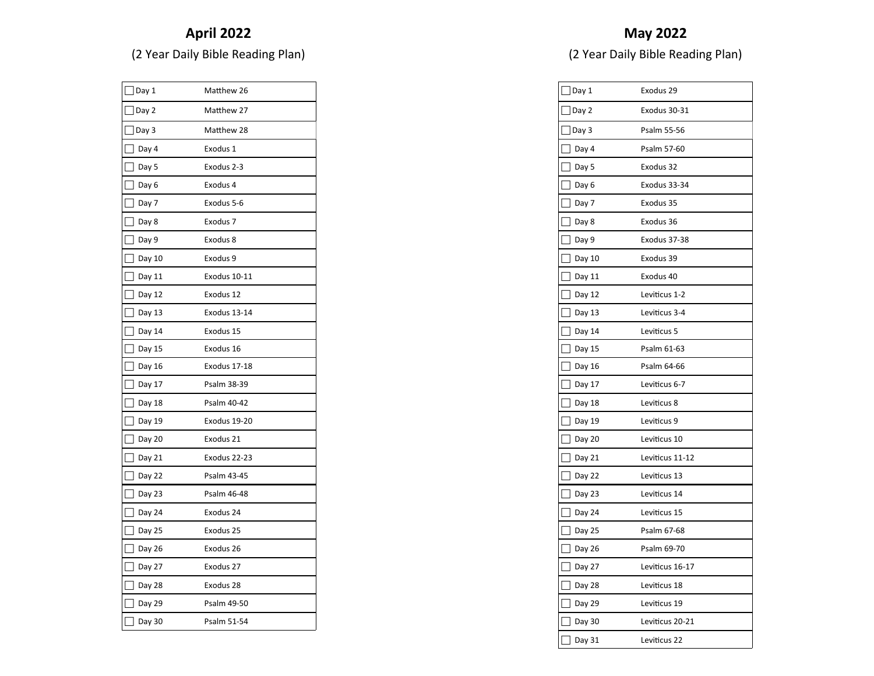# **April 2022**

(2 Year Daily Bible Reading Plan)

| Day 1  | Matthew 26          |
|--------|---------------------|
| Day 2  | Matthew 27          |
| Day 3  | Matthew 28          |
| Day 4  | Exodus 1            |
| Day 5  | Exodus 2-3          |
| Day 6  | Exodus 4            |
| Day 7  | Exodus 5-6          |
| Day 8  | Exodus <sub>7</sub> |
| Day 9  | Exodus 8            |
| Day 10 | Exodus 9            |
| Day 11 | Exodus 10-11        |
| Day 12 | Exodus 12           |
| Day 13 | Exodus 13-14        |
| Day 14 | Exodus 15           |
| Day 15 | Exodus 16           |
| Day 16 | Exodus 17-18        |
| Day 17 | Psalm 38-39         |
| Day 18 | Psalm 40-42         |
| Day 19 | Exodus 19-20        |
| Day 20 | Exodus 21           |
| Day 21 | Exodus 22-23        |
| Day 22 | Psalm 43-45         |
| Day 23 | Psalm 46-48         |
| Day 24 | Exodus 24           |
| Day 25 | Exodus 25           |
| Day 26 | Exodus 26           |
| Day 27 | Exodus 27           |
| Day 28 | Exodus 28           |
| Day 29 | Psalm 49-50         |
| Day 30 | Psalm 51-54         |

| $]$ Day 1 | Exodus 29       |
|-----------|-----------------|
| Day 2     | Exodus 30-31    |
| Day 3     | Psalm 55-56     |
| Day 4     | Psalm 57-60     |
| Day 5     | Exodus 32       |
| Day 6     | Exodus 33-34    |
| Day 7     | Exodus 35       |
| Day 8     | Exodus 36       |
| Day 9     | Exodus 37-38    |
| Day 10    | Exodus 39       |
| Day 11    | Exodus 40       |
| Day 12    | Leviticus 1-2   |
| Day 13    | Leviticus 3-4   |
| Day 14    | Leviticus 5     |
| Day 15    | Psalm 61-63     |
| Day 16    | Psalm 64-66     |
| Day 17    | Leviticus 6-7   |
| Day 18    | Leviticus 8     |
| Day 19    | Leviticus 9     |
| Day 20    | Leviticus 10    |
| Day 21    | Leviticus 11-12 |
| Day 22    | Leviticus 13    |
| Day 23    | Leviticus 14    |
| Day 24    | Leviticus 15    |
| Day 25    | Psalm 67-68     |
| Day 26    | Psalm 69-70     |
| Day 27    | Leviticus 16-17 |
| Day 28    | Leviticus 18    |
| Day 29    | Leviticus 19    |
| Day 30    | Leviticus 20-21 |
| Day 31    | Leviticus 22    |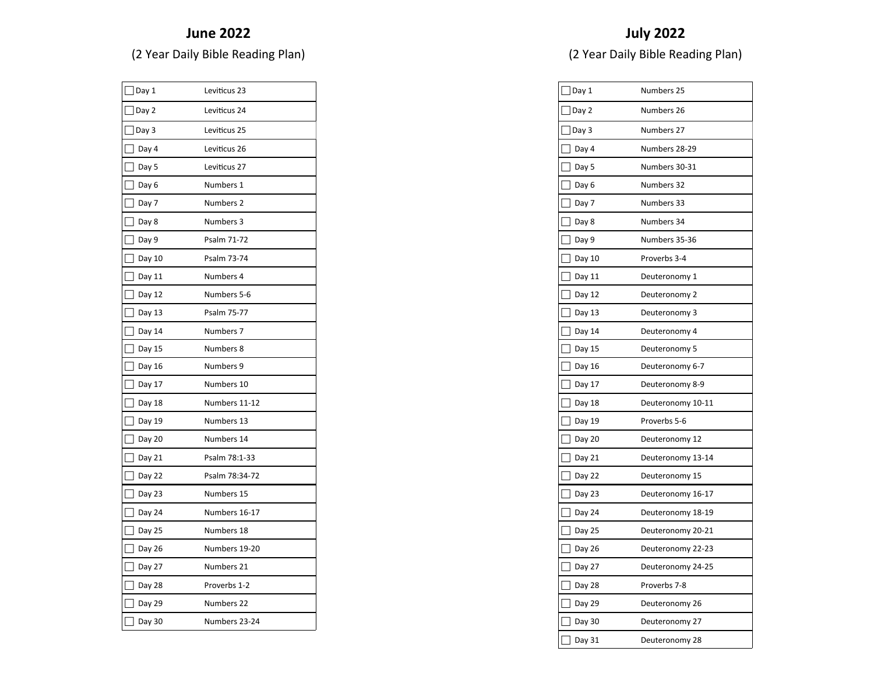#### **June 2022**

(2 Year Daily Bible Reading Plan)

| Day 1  | Leviticus 23   |
|--------|----------------|
| Day 2  | Leviticus 24   |
| Day 3  | Leviticus 25   |
| Day 4  | Leviticus 26   |
| Day 5  | Leviticus 27   |
| Day 6  | Numbers 1      |
| Day 7  | Numbers 2      |
| Day 8  | Numbers 3      |
| Day 9  | Psalm 71-72    |
| Day 10 | Psalm 73-74    |
| Day 11 | Numbers 4      |
| Day 12 | Numbers 5-6    |
| Day 13 | Psalm 75-77    |
| Day 14 | Numbers 7      |
| Day 15 | Numbers 8      |
| Day 16 | Numbers 9      |
| Day 17 | Numbers 10     |
| Day 18 | Numbers 11-12  |
| Day 19 | Numbers 13     |
| Day 20 | Numbers 14     |
| Day 21 | Psalm 78:1-33  |
| Day 22 | Psalm 78:34-72 |
| Day 23 | Numbers 15     |
| Day 24 | Numbers 16-17  |
| Day 25 | Numbers 18     |
| Day 26 | Numbers 19-20  |
| Day 27 | Numbers 21     |
| Day 28 | Proverbs 1-2   |
| Day 29 | Numbers 22     |
| Day 30 | Numbers 23-24  |

| Day 1       | Numbers 25        |
|-------------|-------------------|
| Day 2       | Numbers 26        |
| Day 3       | Numbers 27        |
| Day 4       | Numbers 28-29     |
| Day 5       | Numbers 30-31     |
| Day 6       | Numbers 32        |
| Day 7       | Numbers 33        |
| Day 8       | Numbers 34        |
| Day 9       | Numbers 35-36     |
| Day 10      | Proverbs 3-4      |
| Г<br>Day 11 | Deuteronomy 1     |
| Day 12      | Deuteronomy 2     |
| Day 13      | Deuteronomy 3     |
| Day 14      | Deuteronomy 4     |
| Day 15      | Deuteronomy 5     |
| Day 16      | Deuteronomy 6-7   |
| Day 17      | Deuteronomy 8-9   |
| Day 18      | Deuteronomy 10-11 |
| Day 19      | Proverbs 5-6      |
| Day 20      | Deuteronomy 12    |
| Day 21      | Deuteronomy 13-14 |
| Day 22      | Deuteronomy 15    |
| Day 23      | Deuteronomy 16-17 |
| Day 24      | Deuteronomy 18-19 |
| Day 25      | Deuteronomy 20-21 |
| Day 26      | Deuteronomy 22-23 |
| Day 27      | Deuteronomy 24-25 |
| Day 28      | Proverbs 7-8      |
| Day 29      | Deuteronomy 26    |
| Day 30      | Deuteronomy 27    |
| Day 31      | Deuteronomy 28    |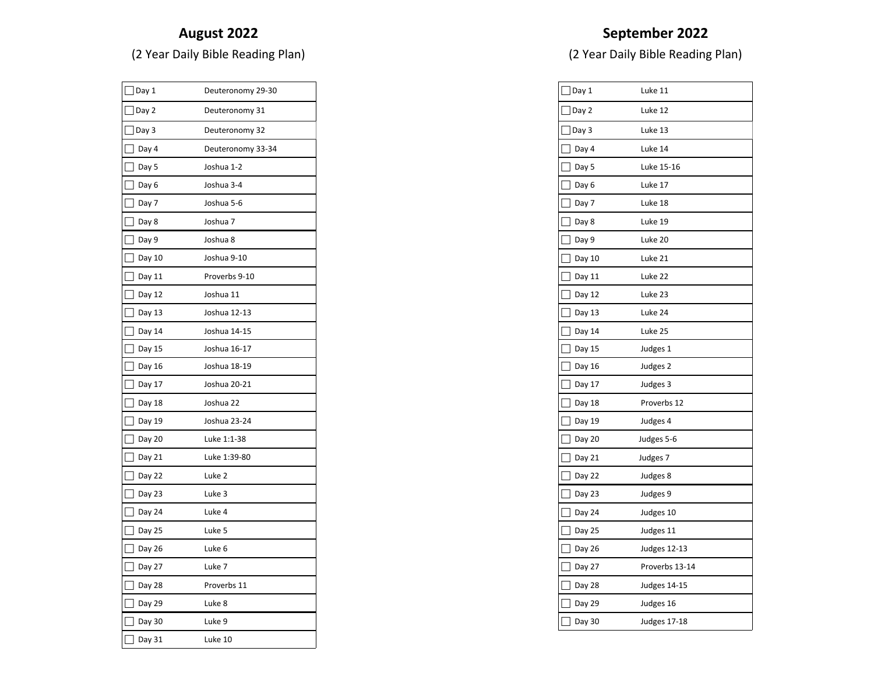#### **August 2022**

(2 Year Daily Bible Reading Plan)

| $\sqrt{\frac{2}{1}}$ Day 1 | Deuteronomy 29-30 |
|----------------------------|-------------------|
| Day 2                      | Deuteronomy 31    |
| Day 3                      | Deuteronomy 32    |
| Day 4                      | Deuteronomy 33-34 |
| Day 5                      | Joshua 1-2        |
| Day 6                      | Joshua 3-4        |
| Day 7                      | Joshua 5-6        |
| Day 8                      | Joshua 7          |
| Day 9                      | Joshua 8          |
| Day 10                     | Joshua 9-10       |
| Day 11                     | Proverbs 9-10     |
| Day 12                     | Joshua 11         |
| Day 13                     | Joshua 12-13      |
| Day 14                     | Joshua 14-15      |
| Day 15                     | Joshua 16-17      |
| Day 16                     | Joshua 18-19      |
| Day 17                     | Joshua 20-21      |
| Day 18                     | Joshua 22         |
| Day 19                     | Joshua 23-24      |
| Day 20                     | Luke 1:1-38       |
| Day 21                     | Luke 1:39-80      |
| Day 22                     | Luke 2            |
| Day 23                     | Luke 3            |
| Day 24                     | Luke 4            |
| Day 25                     | Luke 5            |
| Day 26                     | Luke 6            |
| Day 27                     | Luke 7            |
| Day 28                     | Proverbs 11       |
| Day 29                     | Luke 8            |
| Day 30                     | Luke 9            |
| Day 31                     | Luke 10           |

| Day 1  | Luke 11             |
|--------|---------------------|
| Day 2  | Luke 12             |
| Day 3  | Luke 13             |
| Day 4  | Luke 14             |
| Day 5  | Luke 15-16          |
| Day 6  | Luke 17             |
| Day 7  | Luke 18             |
| Day 8  | Luke 19             |
| Day 9  | Luke 20             |
| Day 10 | Luke 21             |
| Day 11 | Luke 22             |
| Day 12 | Luke 23             |
| Day 13 | Luke 24             |
| Day 14 | Luke 25             |
| Day 15 | Judges 1            |
| Day 16 | Judges 2            |
| Day 17 | Judges 3            |
| Day 18 | Proverbs 12         |
| Day 19 | Judges 4            |
| Day 20 | Judges 5-6          |
| Day 21 | Judges 7            |
| Day 22 | Judges 8            |
| Day 23 | Judges 9            |
| Day 24 | Judges 10           |
| Day 25 | Judges 11           |
| Day 26 | <b>Judges 12-13</b> |
| Day 27 | Proverbs 13-14      |
| Day 28 | <b>Judges 14-15</b> |
| Day 29 | Judges 16           |
| Day 30 | <b>Judges 17-18</b> |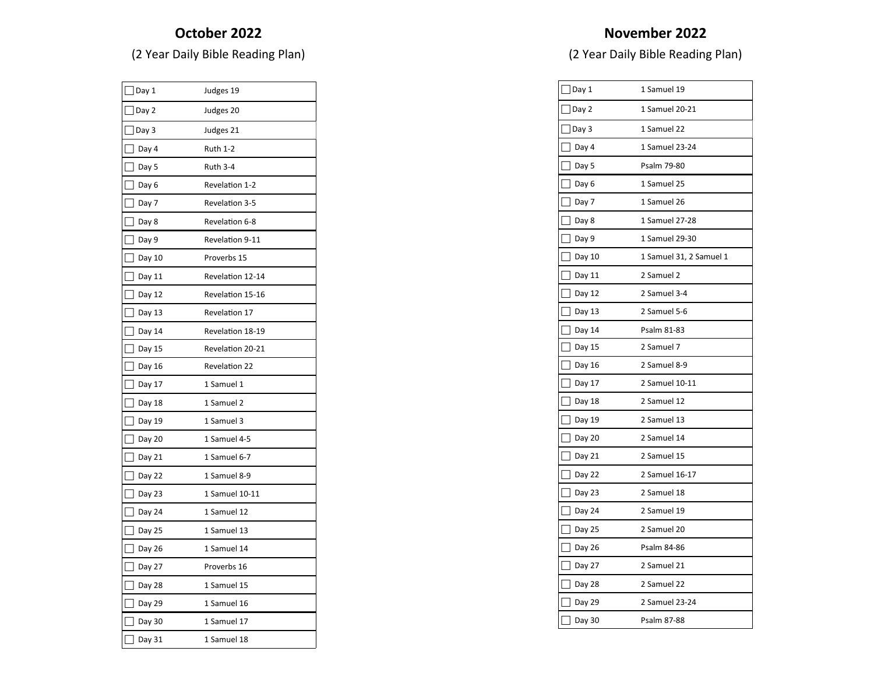# **October 2022**

(2 Year Daily Bible Reading Plan)

| Day 1  | Judges 19        |
|--------|------------------|
| Day 2  | Judges 20        |
| Day 3  | Judges 21        |
| Day 4  | <b>Ruth 1-2</b>  |
| Day 5  | <b>Ruth 3-4</b>  |
| Day 6  | Revelation 1-2   |
| Day 7  | Revelation 3-5   |
| Day 8  | Revelation 6-8   |
| Day 9  | Revelation 9-11  |
| Day 10 | Proverbs 15      |
| Day 11 | Revelation 12-14 |
| Day 12 | Revelation 15-16 |
| Day 13 | Revelation 17    |
| Day 14 | Revelation 18-19 |
| Day 15 | Revelation 20-21 |
| Day 16 | Revelation 22    |
| Day 17 | 1 Samuel 1       |
| Day 18 | 1 Samuel 2       |
| Day 19 | 1 Samuel 3       |
| Day 20 | 1 Samuel 4-5     |
| Day 21 | 1 Samuel 6-7     |
| Day 22 | 1 Samuel 8-9     |
| Day 23 | 1 Samuel 10-11   |
| Day 24 | 1 Samuel 12      |
| Day 25 | 1 Samuel 13      |
| Day 26 | 1 Samuel 14      |
| Day 27 | Proverbs 16      |
| Day 28 | 1 Samuel 15      |
| Day 29 | 1 Samuel 16      |
| Day 30 | 1 Samuel 17      |
| Day 31 | 1 Samuel 18      |

| Day 1  | 1 Samuel 19             |
|--------|-------------------------|
| Day 2  | 1 Samuel 20-21          |
| Day 3  | 1 Samuel 22             |
| Day 4  | 1 Samuel 23-24          |
| Day 5  | Psalm 79-80             |
| Day 6  | 1 Samuel 25             |
| Day 7  | 1 Samuel 26             |
| Day 8  | 1 Samuel 27-28          |
| Day 9  | 1 Samuel 29-30          |
| Day 10 | 1 Samuel 31, 2 Samuel 1 |
| Day 11 | 2 Samuel 2              |
| Day 12 | 2 Samuel 3-4            |
| Day 13 | 2 Samuel 5-6            |
| Day 14 | Psalm 81-83             |
| Day 15 | 2 Samuel 7              |
| Day 16 | 2 Samuel 8-9            |
| Day 17 | 2 Samuel 10-11          |
| Day 18 | 2 Samuel 12             |
| Day 19 | 2 Samuel 13             |
| Day 20 | 2 Samuel 14             |
| Day 21 | 2 Samuel 15             |
| Day 22 | 2 Samuel 16-17          |
| Day 23 | 2 Samuel 18             |
| Day 24 | 2 Samuel 19             |
| Day 25 | 2 Samuel 20             |
| Day 26 | Psalm 84-86             |
| Day 27 | 2 Samuel 21             |
| Day 28 | 2 Samuel 22             |
| Day 29 | 2 Samuel 23-24          |
| Day 30 | Psalm 87-88             |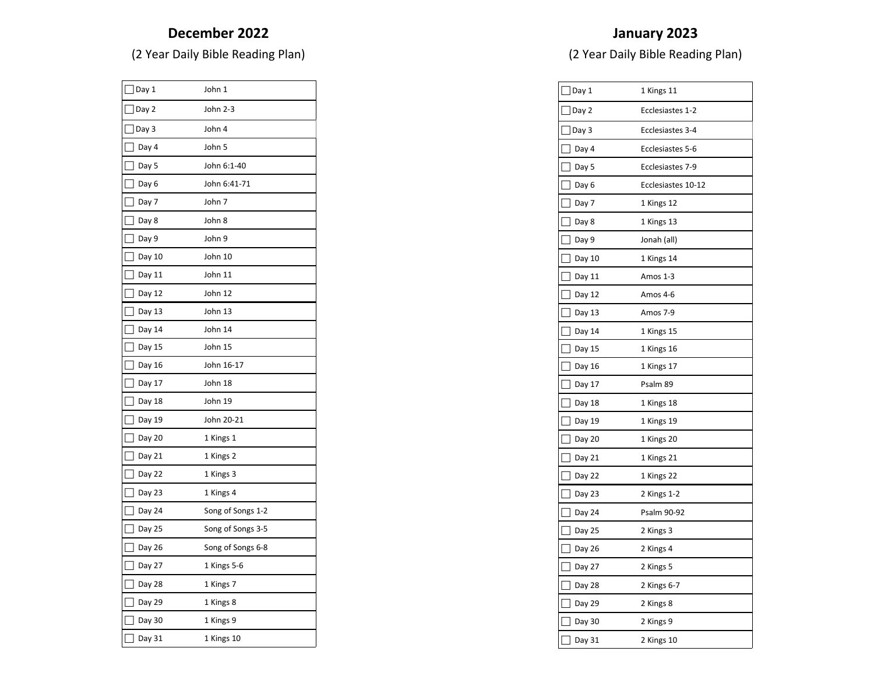# **December 2022**

(2 Year Daily Bible Reading Plan)

| Day 1  | John 1            |
|--------|-------------------|
| Day 2  | John 2-3          |
| Day 3  | John 4            |
| Day 4  | John 5            |
| Day 5  | John 6:1-40       |
| Day 6  | John 6:41-71      |
| Day 7  | John 7            |
| Day 8  | John 8            |
| Day 9  | John 9            |
| Day 10 | John 10           |
| Day 11 | John 11           |
| Day 12 | John 12           |
| Day 13 | John 13           |
| Day 14 | John 14           |
| Day 15 | John 15           |
| Day 16 | John 16-17        |
| Day 17 | John 18           |
| Day 18 | John 19           |
| Day 19 | John 20-21        |
| Day 20 | 1 Kings 1         |
| Day 21 | 1 Kings 2         |
| Day 22 | 1 Kings 3         |
| Day 23 | 1 Kings 4         |
| Day 24 | Song of Songs 1-2 |
| Day 25 | Song of Songs 3-5 |
| Day 26 | Song of Songs 6-8 |
| Day 27 | 1 Kings 5-6       |
| Day 28 | 1 Kings 7         |
| Day 29 | 1 Kings 8         |
| Day 30 | 1 Kings 9         |
| Day 31 | 1 Kings 10        |

#### **January 2023**

| $]$ Day 1 | 1 Kings 11         |
|-----------|--------------------|
| Day 2     | Ecclesiastes 1-2   |
| Day 3     | Ecclesiastes 3-4   |
| Day 4     | Ecclesiastes 5-6   |
| Day 5     | Ecclesiastes 7-9   |
| Day 6     | Ecclesiastes 10-12 |
| Day 7     | 1 Kings 12         |
| Day 8     | 1 Kings 13         |
| Day 9     | Jonah (all)        |
| Day 10    | 1 Kings 14         |
| Day 11    | Amos 1-3           |
| Day 12    | Amos 4-6           |
| Day 13    | Amos 7-9           |
| Day 14    | 1 Kings 15         |
| Day 15    | 1 Kings 16         |
| Day 16    | 1 Kings 17         |
| Day 17    | Psalm 89           |
| Day 18    | 1 Kings 18         |
| Day 19    | 1 Kings 19         |
| Day 20    | 1 Kings 20         |
| Day 21    | 1 Kings 21         |
| Day 22    | 1 Kings 22         |
| Day 23    | 2 Kings 1-2        |
| Day 24    | Psalm 90-92        |
| Day 25    | 2 Kings 3          |
| Day 26    | 2 Kings 4          |
| Day 27    | 2 Kings 5          |
| Day 28    | 2 Kings 6-7        |
| Day 29    | 2 Kings 8          |
| Day 30    | 2 Kings 9          |
| Day 31    | 2 Kings 10         |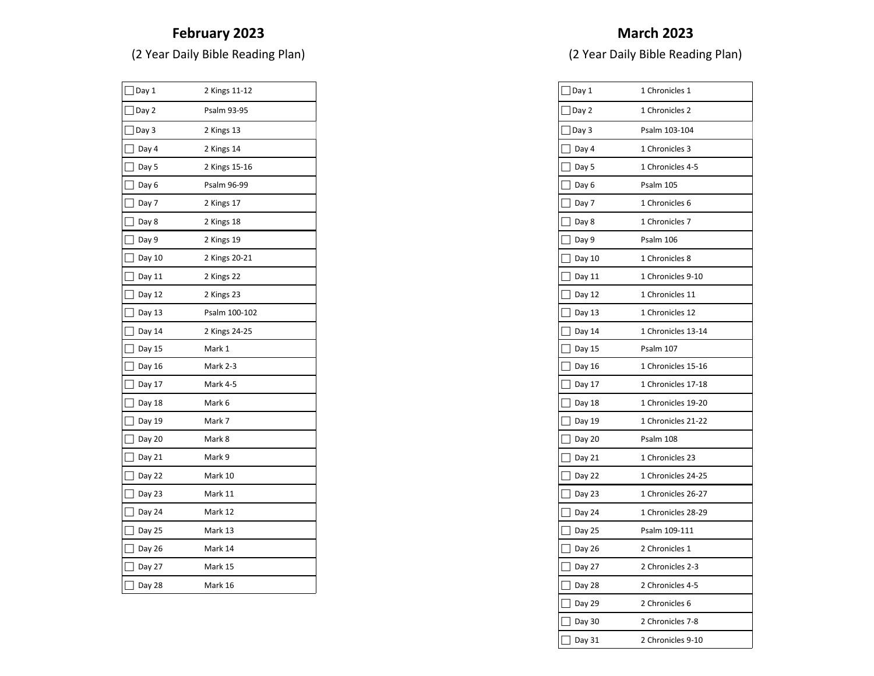# **February 2023**

(2 Year Daily Bible Reading Plan)

| Day 1  | 2 Kings 11-12 |
|--------|---------------|
| Day 2  | Psalm 93-95   |
| Day 3  | 2 Kings 13    |
| Day 4  | 2 Kings 14    |
| Day 5  | 2 Kings 15-16 |
| Day 6  | Psalm 96-99   |
| Day 7  | 2 Kings 17    |
| Day 8  | 2 Kings 18    |
| Day 9  | 2 Kings 19    |
| Day 10 | 2 Kings 20-21 |
| Day 11 | 2 Kings 22    |
| Day 12 | 2 Kings 23    |
| Day 13 | Psalm 100-102 |
| Day 14 | 2 Kings 24-25 |
| Day 15 | Mark 1        |
| Day 16 | Mark 2-3      |
| Day 17 | Mark 4-5      |
| Day 18 | Mark 6        |
| Day 19 | Mark 7        |
| Day 20 | Mark 8        |
| Day 21 | Mark 9        |
| Day 22 | Mark 10       |
| Day 23 | Mark 11       |
| Day 24 | Mark 12       |
| Day 25 | Mark 13       |
| Day 26 | Mark 14       |
| Day 27 | Mark 15       |
| Day 28 | Mark 16       |

| Day 1  | 1 Chronicles 1     |
|--------|--------------------|
|        |                    |
| Day 2  | 1 Chronicles 2     |
| Day 3  | Psalm 103-104      |
| Day 4  | 1 Chronicles 3     |
| Day 5  | 1 Chronicles 4-5   |
| Day 6  | Psalm 105          |
| Day 7  | 1 Chronicles 6     |
| Day 8  | 1 Chronicles 7     |
| Day 9  | Psalm 106          |
| Day 10 | 1 Chronicles 8     |
| Day 11 | 1 Chronicles 9-10  |
| Day 12 | 1 Chronicles 11    |
| Day 13 | 1 Chronicles 12    |
| Day 14 | 1 Chronicles 13-14 |
| Day 15 | Psalm 107          |
| Day 16 | 1 Chronicles 15-16 |
| Day 17 | 1 Chronicles 17-18 |
| Day 18 | 1 Chronicles 19-20 |
| Day 19 | 1 Chronicles 21-22 |
| Day 20 | Psalm 108          |
| Day 21 | 1 Chronicles 23    |
| Day 22 | 1 Chronicles 24-25 |
| Day 23 | 1 Chronicles 26-27 |
| Day 24 | 1 Chronicles 28-29 |
| Day 25 | Psalm 109-111      |
| Day 26 | 2 Chronicles 1     |
| Day 27 | 2 Chronicles 2-3   |
| Day 28 | 2 Chronicles 4-5   |
| Day 29 | 2 Chronicles 6     |
| Day 30 | 2 Chronicles 7-8   |
| Day 31 | 2 Chronicles 9-10  |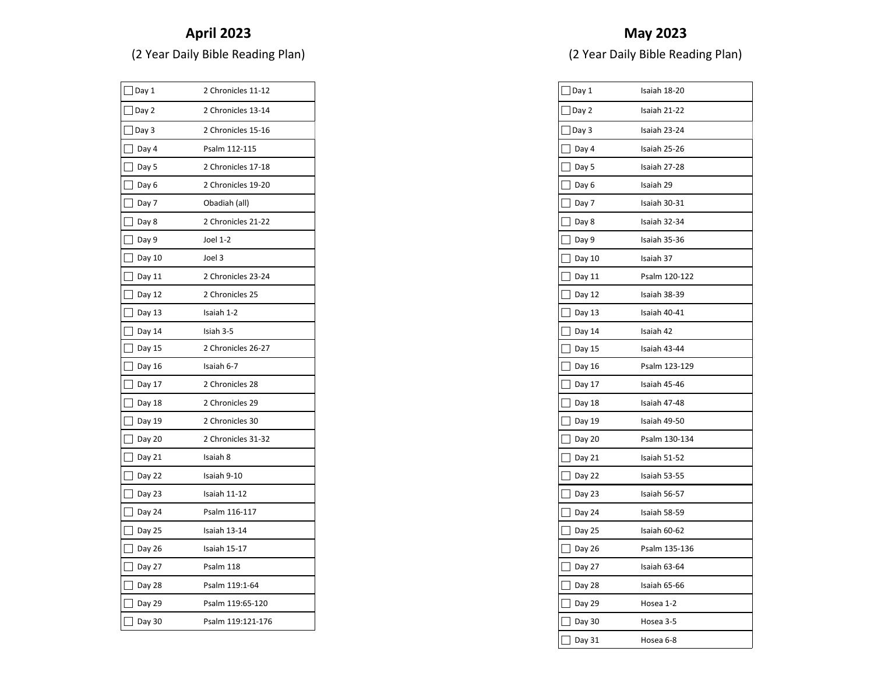# **April 2023**

(2 Year Daily Bible Reading Plan)

| Day 1  | 2 Chronicles 11-12 |
|--------|--------------------|
| Day 2  | 2 Chronicles 13-14 |
| Day 3  | 2 Chronicles 15-16 |
| Day 4  | Psalm 112-115      |
| Day 5  | 2 Chronicles 17-18 |
| Day 6  | 2 Chronicles 19-20 |
| Day 7  | Obadiah (all)      |
| Day 8  | 2 Chronicles 21-22 |
| Day 9  | Joel 1-2           |
| Day 10 | Joel 3             |
| Day 11 | 2 Chronicles 23-24 |
| Day 12 | 2 Chronicles 25    |
| Day 13 | Isaiah 1-2         |
| Day 14 | Isiah 3-5          |
| Day 15 | 2 Chronicles 26-27 |
| Day 16 | Isaiah 6-7         |
| Day 17 | 2 Chronicles 28    |
| Day 18 | 2 Chronicles 29    |
| Day 19 | 2 Chronicles 30    |
| Day 20 | 2 Chronicles 31-32 |
| Day 21 | Isaiah 8           |
| Day 22 | Isaiah 9-10        |
| Day 23 | Isaiah 11-12       |
| Day 24 | Psalm 116-117      |
| Day 25 | Isaiah 13-14       |
| Day 26 | Isaiah 15-17       |
| Day 27 | Psalm 118          |
| Day 28 | Psalm 119:1-64     |
| Day 29 | Psalm 119:65-120   |
| Day 30 | Psalm 119:121-176  |

| $]$ Day $1$ | Isaiah 18-20  |
|-------------|---------------|
| Day 2       | Isaiah 21-22  |
| Day 3       | Isaiah 23-24  |
| Day 4       | Isaiah 25-26  |
| Day 5       | Isaiah 27-28  |
| Day 6       | Isaiah 29     |
| Day 7       | Isaiah 30-31  |
| Day 8       | Isaiah 32-34  |
| Day 9       | Isaiah 35-36  |
| Day 10      | Isaiah 37     |
| Day 11      | Psalm 120-122 |
| Day 12      | Isaiah 38-39  |
| Day 13      | Isaiah 40-41  |
| Day 14      | Isaiah 42     |
| Day 15      | Isaiah 43-44  |
| Day 16      | Psalm 123-129 |
| Day 17      | Isaiah 45-46  |
| Day 18<br>I | Isaiah 47-48  |
| Day 19      | Isaiah 49-50  |
| Day 20      | Psalm 130-134 |
| Day 21      | Isaiah 51-52  |
| Day 22      | Isaiah 53-55  |
| Day 23      | Isaiah 56-57  |
| Day 24      | Isaiah 58-59  |
| Day 25      | Isaiah 60-62  |
| Day 26      | Psalm 135-136 |
| Day 27      | Isaiah 63-64  |
| Day 28      | Isaiah 65-66  |
| Day 29      | Hosea 1-2     |
| Day 30      | Hosea 3-5     |
| Day 31      | Hosea 6-8     |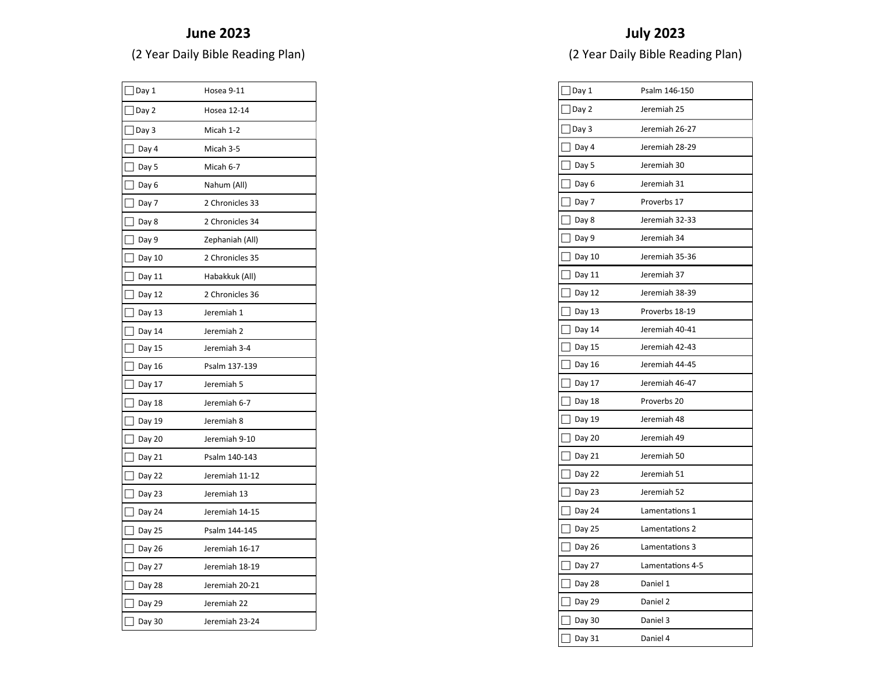#### **June 2023**

(2 Year Daily Bible Reading Plan)

| Day 1  | Hosea 9-11      |
|--------|-----------------|
| Day 2  | Hosea 12-14     |
| Day 3  | Micah 1-2       |
| Day 4  | Micah 3-5       |
| Day 5  | Micah 6-7       |
| Day 6  | Nahum (All)     |
| Day 7  | 2 Chronicles 33 |
| Day 8  | 2 Chronicles 34 |
| Day 9  | Zephaniah (All) |
| Day 10 | 2 Chronicles 35 |
| Day 11 | Habakkuk (All)  |
| Day 12 | 2 Chronicles 36 |
| Day 13 | Jeremiah 1      |
| Day 14 | Jeremiah 2      |
| Day 15 | Jeremiah 3-4    |
| Day 16 | Psalm 137-139   |
| Day 17 | Jeremiah 5      |
| Day 18 | Jeremiah 6-7    |
| Day 19 | Jeremiah 8      |
| Day 20 | Jeremiah 9-10   |
| Day 21 | Psalm 140-143   |
| Day 22 | Jeremiah 11-12  |
| Day 23 | Jeremiah 13     |
| Day 24 | Jeremiah 14-15  |
| Day 25 | Psalm 144-145   |
| Day 26 | Jeremiah 16-17  |
| Day 27 | Jeremiah 18-19  |
| Day 28 | Jeremiah 20-21  |
| Day 29 | Jeremiah 22     |
| Day 30 | Jeremiah 23-24  |

| Day 1                             | Psalm 146-150    |
|-----------------------------------|------------------|
| Day 2                             | Jeremiah 25      |
| Day 3                             | Jeremiah 26-27   |
| Day 4                             | Jeremiah 28-29   |
| Day 5                             | Jeremiah 30      |
| Day 6                             | Jeremiah 31      |
| Day 7                             | Proverbs 17      |
| $\overline{\phantom{a}}$<br>Day 8 | Jeremiah 32-33   |
| Day 9                             | Jeremiah 34      |
| Day 10                            | Jeremiah 35-36   |
| Day 11                            | Jeremiah 37      |
| Day 12                            | Jeremiah 38-39   |
| Day 13                            | Proverbs 18-19   |
| Day 14                            | Jeremiah 40-41   |
| Day 15                            | Jeremiah 42-43   |
| Day 16                            | Jeremiah 44-45   |
| Day 17                            | Jeremiah 46-47   |
| Day 18                            | Proverbs 20      |
| Day 19                            | Jeremiah 48      |
| Day 20                            | Jeremiah 49      |
| Day 21                            | Jeremiah 50      |
| Day 22                            | Jeremiah 51      |
| Day 23                            | Jeremiah 52      |
| Day 24                            | Lamentations 1   |
| Day 25                            | Lamentations 2   |
| Day 26                            | Lamentations 3   |
| Day 27                            | Lamentations 4-5 |
| Day 28                            | Daniel 1         |
| Day 29                            | Daniel 2         |
| Day 30                            | Daniel 3         |
| Day 31                            | Daniel 4         |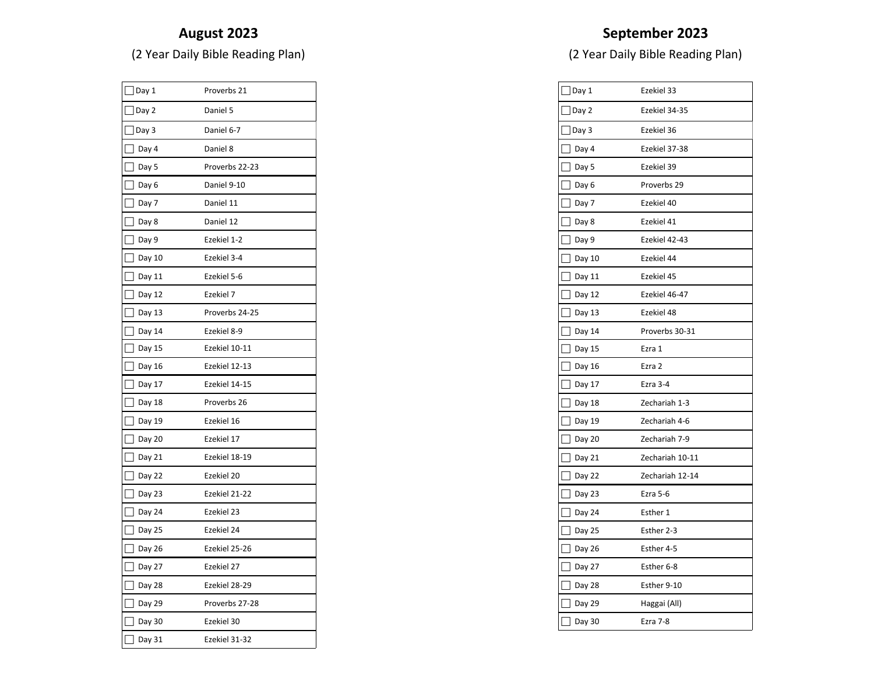#### **August 2023**

(2 Year Daily Bible Reading Plan)

| Day 1                              | Proverbs 21    |
|------------------------------------|----------------|
| Day 2                              | Daniel 5       |
| Day 3                              | Daniel 6-7     |
| Day 4                              | Daniel 8       |
| Day 5                              | Proverbs 22-23 |
| Day 6                              | Daniel 9-10    |
| Day 7                              | Daniel 11      |
| Day 8                              | Daniel 12      |
| Day 9                              | Ezekiel 1-2    |
| Day 10                             | Ezekiel 3-4    |
| Day 11                             | Ezekiel 5-6    |
| Day 12                             | Ezekiel 7      |
| Day 13                             | Proverbs 24-25 |
| Day 14                             | Ezekiel 8-9    |
| Day 15                             | Ezekiel 10-11  |
| Day 16                             | Ezekiel 12-13  |
| Day 17                             | Ezekiel 14-15  |
| $\overline{\phantom{a}}$<br>Day 18 | Proverbs 26    |
| Day 19                             | Ezekiel 16     |
| Day 20                             | Ezekiel 17     |
| Day 21                             | Ezekiel 18-19  |
| Day 22                             | Ezekiel 20     |
| Day 23                             | Ezekiel 21-22  |
| Day 24                             | Ezekiel 23     |
| Day 25                             | Ezekiel 24     |
| Day 26                             | Ezekiel 25-26  |
| Day 27                             | Ezekiel 27     |
| Day 28                             | Ezekiel 28-29  |
| Day 29                             | Proverbs 27-28 |
| Day 30                             | Ezekiel 30     |
| Day 31                             | Ezekiel 31-32  |

# **September 2023**

| Day 1  | Ezekiel 33      |
|--------|-----------------|
| Day 2  | Ezekiel 34-35   |
| Day 3  | Ezekiel 36      |
| Day 4  | Ezekiel 37-38   |
| Day 5  | Ezekiel 39      |
| Day 6  | Proverbs 29     |
| Day 7  | Ezekiel 40      |
| Day 8  | Ezekiel 41      |
| Day 9  | Ezekiel 42-43   |
| Day 10 | Ezekiel 44      |
| Day 11 | Ezekiel 45      |
| Day 12 | Ezekiel 46-47   |
| Day 13 | Ezekiel 48      |
| Day 14 | Proverbs 30-31  |
| Day 15 | Ezra 1          |
| Day 16 | Ezra 2          |
| Day 17 | Ezra 3-4        |
| Day 18 | Zechariah 1-3   |
| Day 19 | Zechariah 4-6   |
| Day 20 | Zechariah 7-9   |
| Day 21 | Zechariah 10-11 |
| Day 22 | Zechariah 12-14 |
| Day 23 | Ezra 5-6        |
| Day 24 | Esther 1        |
| Day 25 | Esther 2-3      |
| Day 26 | Esther 4-5      |
| Day 27 | Esther 6-8      |
| Day 28 | Esther 9-10     |
| Day 29 | Haggai (All)    |
| Day 30 | Ezra 7-8        |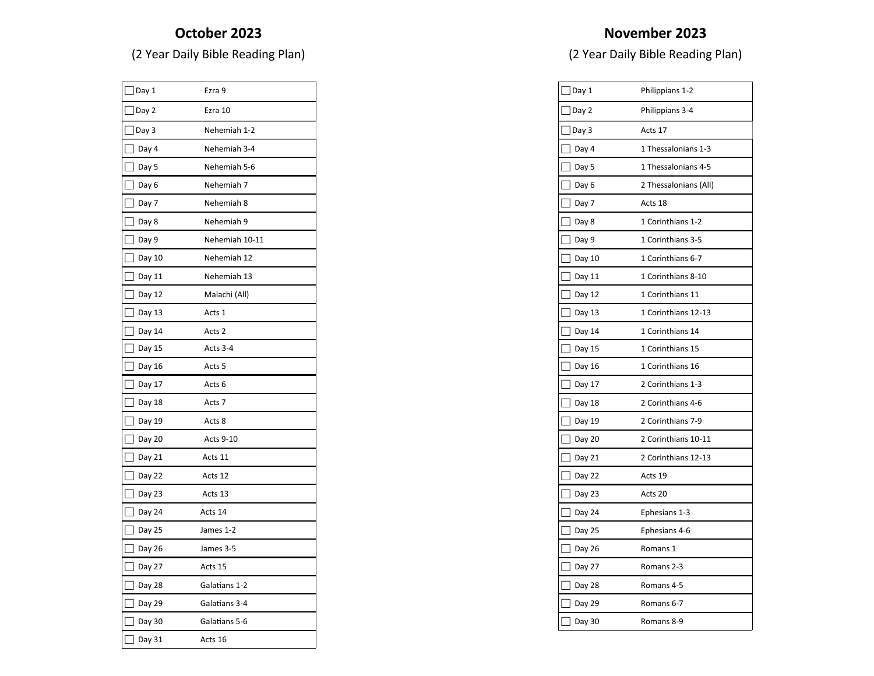#### **October 2023**

(2 Year Daily Bible Reading Plan)

| $\vert$ Day 1 | Ezra 9            |
|---------------|-------------------|
| Day 2         | Ezra 10           |
| Day 3         | Nehemiah 1-2      |
| Day 4         | Nehemiah 3-4      |
| Day 5         | Nehemiah 5-6      |
| Day 6         | Nehemiah 7        |
| Day 7         | Nehemiah 8        |
| Day 8         | Nehemiah 9        |
| Day 9         | Nehemiah 10-11    |
| Day 10        | Nehemiah 12       |
| Day 11        | Nehemiah 13       |
| Day 12        | Malachi (All)     |
| Day 13        | Acts 1            |
| Day 14        | Acts 2            |
| Day 15        | Acts 3-4          |
| Day 16        | Acts 5            |
| Day 17        | Acts <sub>6</sub> |
| Day 18        | Acts 7            |
| Day 19        | Acts 8            |
| Day 20        | Acts 9-10         |
| Day 21        | Acts 11           |
| Day 22        | Acts 12           |
| Day 23        | Acts 13           |
| Day 24        | Acts 14           |
| Day 25        | James 1-2         |
| Day 26        | James 3-5         |
| Day 27        | Acts 15           |
| Day 28        | Galatians 1-2     |
| Day 29        | Galatians 3-4     |
| Day 30        | Galatians 5-6     |
| Day 31        | Acts 16           |

| Day 1  | Philippians 1-2       |
|--------|-----------------------|
| Day 2  | Philippians 3-4       |
| Day 3  | Acts 17               |
| Day 4  | 1 Thessalonians 1-3   |
| Day 5  | 1 Thessalonians 4-5   |
| Day 6  | 2 Thessalonians (All) |
| Day 7  | Acts 18               |
| Day 8  | 1 Corinthians 1-2     |
| Day 9  | 1 Corinthians 3-5     |
| Day 10 | 1 Corinthians 6-7     |
| Day 11 | 1 Corinthians 8-10    |
| Day 12 | 1 Corinthians 11      |
| Day 13 | 1 Corinthians 12-13   |
| Day 14 | 1 Corinthians 14      |
| Day 15 | 1 Corinthians 15      |
| Day 16 | 1 Corinthians 16      |
| Day 17 | 2 Corinthians 1-3     |
| Day 18 | 2 Corinthians 4-6     |
| Day 19 | 2 Corinthians 7-9     |
| Day 20 | 2 Corinthians 10-11   |
| Day 21 | 2 Corinthians 12-13   |
| Day 22 | Acts 19               |
| Day 23 | Acts 20               |
| Day 24 | Ephesians 1-3         |
| Day 25 | Ephesians 4-6         |
| Day 26 | Romans 1              |
| Day 27 | Romans 2-3            |
| Day 28 | Romans 4-5            |
| Day 29 | Romans 6-7            |
| Day 30 | Romans 8-9            |